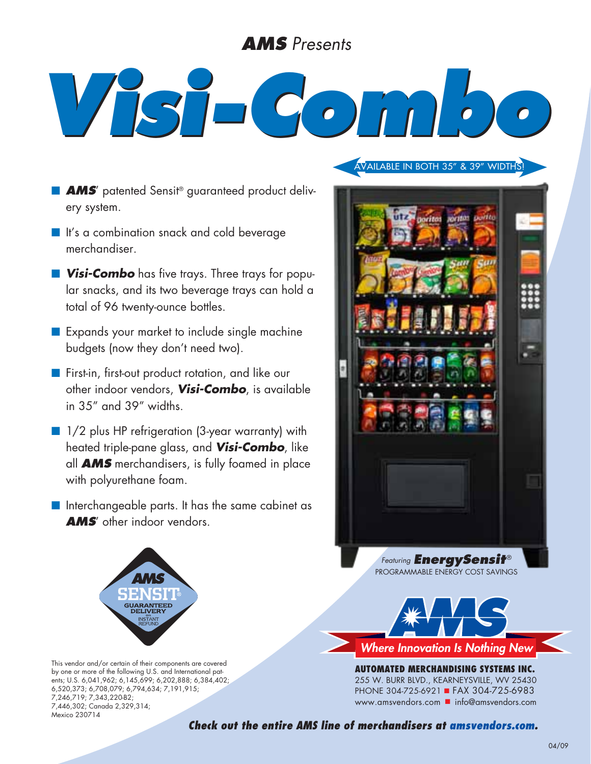## *AMS Presents*

## *Visi-Combo*

- **AMS**' patented Sensit® guaranteed product delivery system.
- **n** It's a combination snack and cold beverage merchandiser.
- **Nisi-Combo** has five trays. Three trays for popular snacks, and its two beverage trays can hold a total of 96 twenty-ounce bottles.
- Expands your market to include single machine budgets (now they don't need two).
- **n** First-in, first-out product rotation, and like our other indoor vendors, *Visi-Combo*, is available in 35" and 39" widths.
- 1/2 plus HP refrigeration (3-year warranty) with heated triple-pane glass, and *Visi-Combo*, like all *AMS* merchandisers, is fully foamed in place with polyurethane foam.
- $\blacksquare$  Interchangeable parts. It has the same cabinet as *AMS*' other indoor vendors.



This vendor and/or certain of their components are covered by one or more of the following U.S. and International patents; U.S. 6,041,962; 6,145,699; 6,202,888; 6,384,402; 6,520,373; 6,708,079; 6,794,634; 7,191,915; 7,246,719; 7,343,220-B2; 7,446,302; Canada 2,329,314; Mexico 230714

Available in both 35" & 39" widths!



Programmable Energy Cost Savings



**AUTOMATED MERCHANDISING SYSTEMs INC.** 255 W. Burr Blvd., Kearneysville, WV 25430 PHONE 304-725-6921 FAX 304-725-6983 www.amsvendors.com ninfo@amsvendors.com

*Check out the entire AMS line of merchandisers at amsvendors.com.*